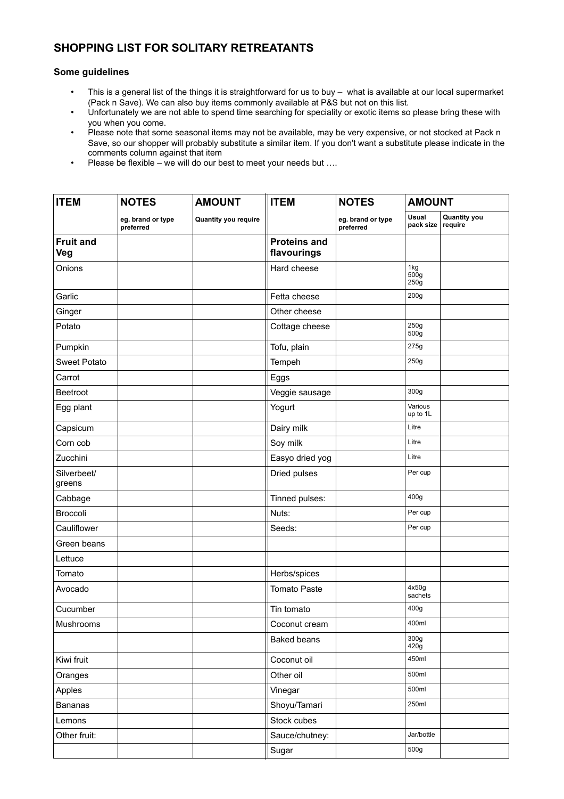## **SHOPPING LIST FOR SOLITARY RETREATANTS**

## **Some guidelines**

- This is a general list of the things it is straightforward for us to buy what is available at our local supermarket (Pack n Save). We can also buy items commonly available at P&S but not on this list.
- Unfortunately we are not able to spend time searching for speciality or exotic items so please bring these with you when you come.
- Please note that some seasonal items may not be available, may be very expensive, or not stocked at Pack n Save, so our shopper will probably substitute a similar item. If you don't want a substitute please indicate in the comments column against that item
- Please be flexible we will do our best to meet your needs but ....

| <b>ITEM</b>                    | <b>NOTES</b>                   | <b>AMOUNT</b>               | <b>ITEM</b>                        | <b>NOTES</b>                   | <b>AMOUNT</b>                   |                                |
|--------------------------------|--------------------------------|-----------------------------|------------------------------------|--------------------------------|---------------------------------|--------------------------------|
|                                | eg. brand or type<br>preferred | <b>Quantity you require</b> |                                    | eg. brand or type<br>preferred | Usual<br>pack size              | <b>Quantity you</b><br>require |
| <b>Fruit and</b><br><b>Veg</b> |                                |                             | <b>Proteins and</b><br>flavourings |                                |                                 |                                |
| Onions                         |                                |                             | Hard cheese                        |                                | 1kg<br>500 <sub>g</sub><br>250g |                                |
| Garlic                         |                                |                             | Fetta cheese                       |                                | 200g                            |                                |
| Ginger                         |                                |                             | Other cheese                       |                                |                                 |                                |
| Potato                         |                                |                             | Cottage cheese                     |                                | 250g<br>500 <sub>9</sub>        |                                |
| Pumpkin                        |                                |                             | Tofu, plain                        |                                | 275g                            |                                |
| Sweet Potato                   |                                |                             | Tempeh                             |                                | 250g                            |                                |
| Carrot                         |                                |                             | Eggs                               |                                |                                 |                                |
| <b>Beetroot</b>                |                                |                             | Veggie sausage                     |                                | 300g                            |                                |
| Egg plant                      |                                |                             | Yogurt                             |                                | Various<br>up to 1L             |                                |
| Capsicum                       |                                |                             | Dairy milk                         |                                | Litre                           |                                |
| Corn cob                       |                                |                             | Soy milk                           |                                | Litre                           |                                |
| Zucchini                       |                                |                             | Easyo dried yog                    |                                | Litre                           |                                |
| Silverbeet/<br>greens          |                                |                             | Dried pulses                       |                                | Per cup                         |                                |
| Cabbage                        |                                |                             | Tinned pulses:                     |                                | 400g                            |                                |
| Broccoli                       |                                |                             | Nuts:                              |                                | Per cup                         |                                |
| Cauliflower                    |                                |                             | Seeds:                             |                                | Per cup                         |                                |
| Green beans                    |                                |                             |                                    |                                |                                 |                                |
| Lettuce                        |                                |                             |                                    |                                |                                 |                                |
| Tomato                         |                                |                             | Herbs/spices                       |                                |                                 |                                |
| Avocado                        |                                |                             | <b>Tomato Paste</b>                |                                | 4x50q<br>sachets                |                                |
| Cucumber                       |                                |                             | Tin tomato                         |                                | 400g                            |                                |
| Mushrooms                      |                                |                             | Coconut cream                      |                                | 400ml                           |                                |
|                                |                                |                             | <b>Baked beans</b>                 |                                | 300g<br>420 <sub>g</sub>        |                                |
| Kiwi fruit                     |                                |                             | Coconut oil                        |                                | 450ml                           |                                |
| Oranges                        |                                |                             | Other oil                          |                                | 500ml                           |                                |
| Apples                         |                                |                             | Vinegar                            |                                | 500ml                           |                                |
| <b>Bananas</b>                 |                                |                             | Shoyu/Tamari                       |                                | 250ml                           |                                |
| Lemons                         |                                |                             | Stock cubes                        |                                |                                 |                                |
| Other fruit:                   |                                |                             | Sauce/chutney:                     |                                | Jar/bottle                      |                                |
|                                |                                |                             | Sugar                              |                                | 500g                            |                                |